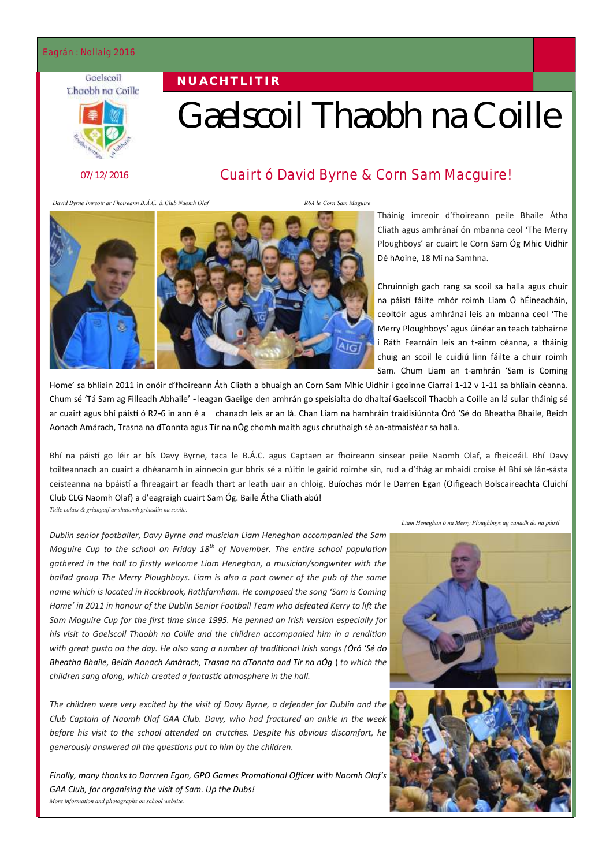#### Eagrán : Nollaig 2016

#### Gaelscoil Chaobh na Coille



# Gaelscoil Thaobh na Coille

#### 07/12/2016

## Cuairt ó David Byrne & Corn Sam Macguire!

*David Byrne Imreoir ar Fhoireann B.Á.C. & Club Naomh Olaf R6A le Corn Sam Maguire*



**N U A C H T L I T I R**

Tháinig imreoir d'fhoireann peile Bhaile Átha Cliath agus amhránaí ón mbanna ceol 'The Merry Ploughboys' ar cuairt le Corn Sam Óg Mhic Uidhir Dé hAoine, 18 Mí na Samhna.

Chruinnigh gach rang sa scoil sa halla agus chuir na páistí fáilte mhór roimh Liam Ó hÉineacháin, ceoltóir agus amhránaí leis an mbanna ceol 'The Merry Ploughboys' agus úinéar an teach tabhairne i Ráth Fearnáin leis an t-ainm céanna, a tháinig chuig an scoil le cuidiú linn fáilte a chuir roimh Sam. Chum Liam an t-amhrán 'Sam is Coming

Home' sa bhliain 2011 in onóir d'fhoireann Áth Cliath a bhuaigh an Corn Sam Mhic Uidhir i gcoinne Ciarraí 1-12 v 1-11 sa bhliain céanna. Chum sé 'Tá Sam ag Filleadh Abhaile' - leagan Gaeilge den amhrán go speisialta do dhaltaí Gaelscoil Thaobh a Coille an lá sular tháinig sé ar cuairt agus bhí páístí ó R2-6 in ann é a chanadh leis ar an lá. Chan Liam na hamhráin traidisiúnnta Óró 'Sé do Bheatha Bhaile, Beidh Aonach Amárach, Trasna na dTonnta agus Tír na nÓg chomh maith agus chruthaigh sé an-atmaisféar sa halla.

Bhí na páistí go léir ar bís Davy Byrne, taca le B.Á.C. agus Captaen ar fhoireann sinsear peile Naomh Olaf, a fheiceáil. Bhí Davy toilteannach an cuairt a dhéanamh in ainneoin gur bhris sé a rúitín le gairid roimhe sin, rud a d'fhág ar mhaidí croise é! Bhí sé lán-sásta ceisteanna na bpáistí a fhreagairt ar feadh thart ar leath uair an chloig. Buíochas mór le Darren Egan (Oifigeach Bolscaireachta Cluichí Club CLG Naomh Olaf) a d'eagraigh cuairt Sam Óg. Baile Átha Cliath abú!

*Tuile eolais & griangaif ar shuíomh gréasáin na scoile.* 

*Dublin senior footballer, Davy Byrne and musician Liam Heneghan accompanied the Sam Maguire Cup to the school on Friday 18th of November. The entire school population gathered in the hall to firstly welcome Liam Heneghan, a musician/songwriter with the ballad group The Merry Ploughboys. Liam is also a part owner of the pub of the same name which is located in Rockbrook, Rathfarnham. He composed the song 'Sam is Coming Home' in 2011 in honour of the Dublin Senior Football Team who defeated Kerry to lift the Sam Maguire Cup for the first time since 1995. He penned an Irish version especially for his visit to Gaelscoil Thaobh na Coille and the children accompanied him in a rendition with great gusto on the day. He also sang a number of traditional Irish songs (Óró 'Sé do Bheatha Bhaile, Beidh Aonach Amárach, Trasna na dTonnta and Tír na nÓg* ) *to which the children sang along, which created a fantastic atmosphere in the hall.*

*The children were very excited by the visit of Davy Byrne, a defender for Dublin and the Club Captain of Naomh Olaf GAA Club. Davy, who had fractured an ankle in the week before his visit to the school attended on crutches. Despite his obvious discomfort, he generously answered all the questions put to him by the children.*

*Finally, many thanks to Darrren Egan, GPO Games Promotional Officer with Naomh Olaf's GAA Club, for organising the visit of Sam. Up the Dubs! More information and photographs on school website.*

*Liam Heneghan ó na Merry Ploughboys ag canadh do na páistí*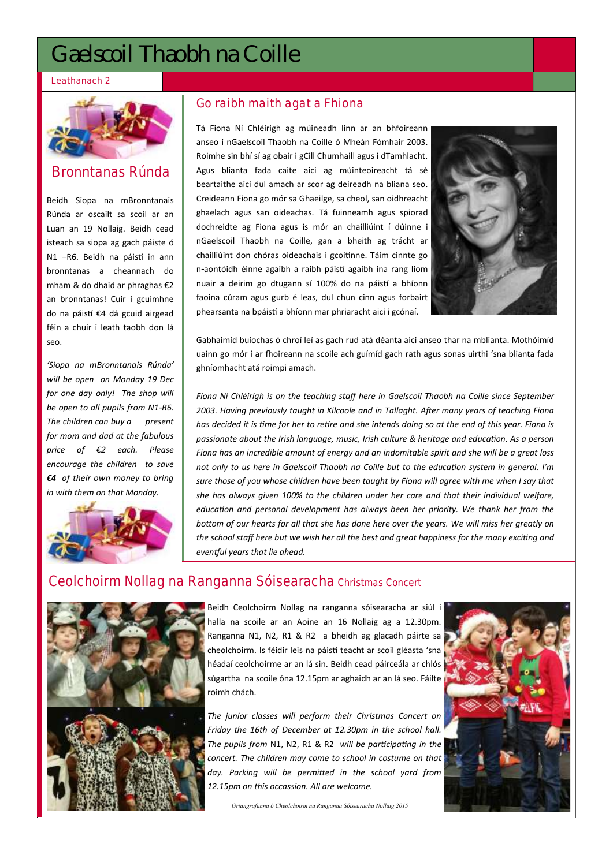## Gaelscoil Thaobh na Coille

#### Leathanach 2



## Bronntanas Rúnda

Beidh Siopa na mBronntanais Rúnda ar oscailt sa scoil ar an Luan an 19 Nollaig. Beidh cead isteach sa siopa ag gach páiste ó N1 –R6. Beidh na páistí in ann bronntanas a cheannach do mham & do dhaid ar phraghas €2 an bronntanas! Cuir i gcuimhne do na páistí €4 dá gcuid airgead féin a chuir i leath taobh don lá seo.

*'Siopa na mBronntanais Rúnda' will be open on Monday 19 Dec for one day only! The shop will be open to all pupils from N1-R6. The children can buy a present for mom and dad at the fabulous price of €2 each. Please encourage the children to save €4 of their own money to bring in with them on that Monday.*



#### Go raibh maith agat a Fhiona

Tá Fiona Ní Chléirigh ag múineadh linn ar an bhfoireann anseo i nGaelscoil Thaobh na Coille ó Mheán Fómhair 2003. Roimhe sin bhí sí ag obair i gCill Chumhaill agus i dTamhlacht. Agus blianta fada caite aici ag múinteoireacht tá sé beartaithe aici dul amach ar scor ag deireadh na bliana seo. Creideann Fiona go mór sa Ghaeilge, sa cheol, san oidhreacht ghaelach agus san oideachas. Tá fuinneamh agus spiorad dochreidte ag Fiona agus is mór an chailliúint í dúinne i nGaelscoil Thaobh na Coille, gan a bheith ag trácht ar chailliúint don chóras oideachais i gcoitinne. Táim cinnte go n-aontóidh éinne agaibh a raibh páistí agaibh ina rang liom nuair a deirim go dtugann sí 100% do na páistí a bhíonn faoina cúram agus gurb é leas, dul chun cinn agus forbairt phearsanta na bpáistí a bhíonn mar phriaracht aici i gcónaí.



Gabhaimíd buíochas ó chroí leí as gach rud atá déanta aici anseo thar na mblianta. Mothóimíd uainn go mór í ar fhoireann na scoile ach guímíd gach rath agus sonas uirthi 'sna blianta fada ghníomhacht atá roimpi amach.

*Fiona Ní Chléirigh is on the teaching staff here in Gaelscoil Thaobh na Coille since September 2003. Having previously taught in Kilcoole and in Tallaght. After many years of teaching Fiona has decided it is time for her to retire and she intends doing so at the end of this year. Fiona is passionate about the Irish language, music, Irish culture & heritage and education. As a person Fiona has an incredible amount of energy and an indomitable spirit and she will be a great loss not only to us here in Gaelscoil Thaobh na Coille but to the education system in general. I'm sure those of you whose children have been taught by Fiona will agree with me when I say that she has always given 100% to the children under her care and that their individual welfare, education and personal development has always been her priority. We thank her from the bottom of our hearts for all that she has done here over the years. We will miss her greatly on the school staff here but we wish her all the best and great happiness for the many exciting and eventful years that lie ahead.* 

## Ceolchoirm Nollag na Ranganna Sóisearacha Christmas Concert



Beidh Ceolchoirm Nollag na ranganna sóisearacha ar siúl i halla na scoile ar an Aoine an 16 Nollaig ag a 12.30pm. Ranganna N1, N2, R1 & R2 a bheidh ag glacadh páirte sa cheolchoirm. Is féidir leis na páistí teacht ar scoil gléasta 'sna héadaí ceolchoirme ar an lá sin. Beidh cead páirceála ar chlós súgartha na scoile óna 12.15pm ar aghaidh ar an lá seo. Fáilte roimh chách.

*The junior classes will perform their Christmas Concert on Friday the 16th of December at 12.30pm in the school hall. The pupils from* N1, N2, R1 & R2 *will be participating in the concert. The children may come to school in costume on that day. Parking will be permitted in the school yard from 12.15pm on this occassion. All are welcome.* 

*Griangrafanna ó Cheolchoirm na Ranganna Sóisearacha Nollaig 2015*

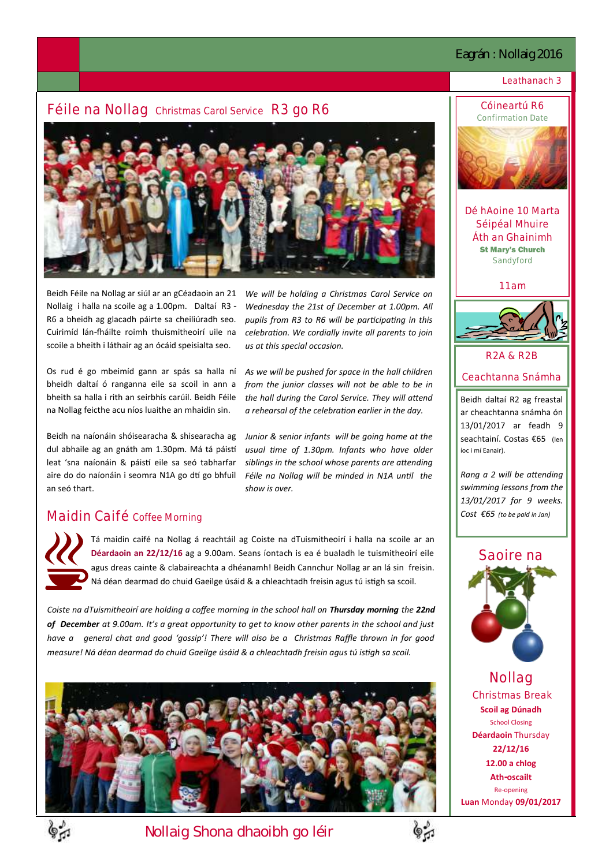### Eagrán : Nollaig 2016

#### Leathanach 3

#### Féile na Nollag Christmas Carol Service R3 go R6



Beidh Féile na Nollag ar siúl ar an gCéadaoin an 21 We will be holding a Christmas Carol Service on Nollaig i halla na scoile ag a 1.00pm. Daltaí R3 - R6 a bheidh ag glacadh páirte sa cheiliúradh seo. Cuirimíd lán-fháilte roimh thuismitheoirí uile na scoile a bheith i láthair ag an ócáid speisialta seo.

Os rud é go mbeimíd gann ar spás sa halla ní bheidh daltaí ó ranganna eile sa scoil in ann a bheith sa halla i rith an seirbhís carúil. Beidh Féile na Nollag feicthe acu níos luaithe an mhaidin sin.

Beidh na naíonáin shóisearacha & shisearacha ag dul abhaile ag an gnáth am 1.30pm. Má tá páistí leat 'sna naíonáin & páistí eile sa seó tabharfar aire do do naíonáin i seomra N1A go dtí go bhfuil an seó thart.

*Wednesday the 21st of December at 1.00pm. All pupils from R3 to R6 will be participating in this celebration. We cordially invite all parents to join us at this special occasion.* 

*As we will be pushed for space in the hall children from the junior classes will not be able to be in the hall during the Carol Service. They will attend a rehearsal of the celebration earlier in the day.* 

*Junior & senior infants will be going home at the usual time of 1.30pm. Infants who have older siblings in the school whose parents are attending Féile na Nollag will be minded in N1A until the show is over.* 

## Maidin Caifé Coffee Morning



Tá maidin caifé na Nollag á reachtáil ag Coiste na dTuismitheoirí i halla na scoile ar an **Déardaoin an 22/12/16** ag a 9.00am. Seans íontach is ea é bualadh le tuismitheoirí eile agus dreas cainte & clabaireachta a dhéanamh! Beidh Cannchur Nollag ar an lá sin freisin. Ná déan dearmad do chuid Gaeilge úsáid & a chleachtadh freisin agus tú istigh sa scoil.

*Coiste na dTuismitheoirí are holding a coffee morning in the school hall on Thursday morning the 22nd of December at 9.00am. It's a great opportunity to get to know other parents in the school and just have a general chat and good 'gossip'! There will also be a Christmas Raffle thrown in for good measure! Ná déan dearmad do chuid Gaeilge úsáid & a chleachtadh freisin agus tú istigh sa scoil.*





**Nollaig Shona dhaoibh go léir**





Dé hAoine 10 Marta Séipéal Mhuire Áth an Ghainimh St Mary's Church Sandyford

11am



R2A & R2B

Ceachtanna Snámha

Beidh daltaí R2 ag freastal ar cheachtanna snámha ón 13/01/2017 ar feadh 9 seachtainí. Costas €65 (len íoc i mí Eanair).

*Rang a 2 will be attending swimming lessons from the 13/01/2017 for 9 weeks. Cost €65 (to be paid in Jan)* 



Nollag Christmas Break **Scoil ag Dúnadh** School Closing **Déardaoin** Thursday **22/12/16 12.00 a chlog Ath-oscailt** Re-opening **Luan** Monday **09/01/2017**